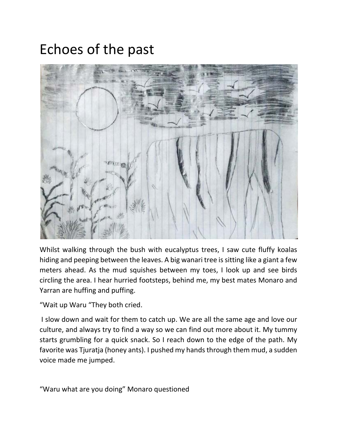## Echoes of the past



Whilst walking through the bush with eucalyptus trees, I saw cute fluffy koalas hiding and peeping between the leaves. A big wanari tree is sitting like a giant a few meters ahead. As the mud squishes between my toes, I look up and see birds circling the area. I hear hurried footsteps, behind me, my best mates Monaro and Yarran are huffing and puffing.

"Wait up Waru "They both cried.

I slow down and wait for them to catch up. We are all the same age and love our culture, and always try to find a way so we can find out more about it. My tummy starts grumbling for a quick snack. So I reach down to the edge of the path. My favorite was Tjuratja (honey ants). I pushed my hands through them mud, a sudden voice made me jumped.

"Waru what are you doing" Monaro questioned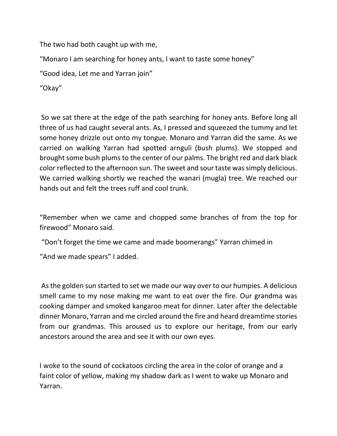The two had both caught up with me,

"Monaro I am searching for honey ants, I want to taste some honey"

"Good idea, Let me and Yarran join"

"Okay"

So we sat there at the edge of the path searching for honey ants. Before long all three of us had caught several ants. As, I pressed and squeezed the tummy and let some honey drizzle out onto my tongue. Monaro and Yarran did the same. As we carried on walking Yarran had spotted arnguli (bush plums). We stopped and brought some bush plums to the center of our palms. The bright red and dark black color reflected to the afternoon sun. The sweet and sour taste was simply delicious. We carried walking shortly we reached the wanari (mugla) tree. We reached our hands out and felt the trees ruff and cool trunk.

"Remember when we came and chopped some branches of from the top for firewood" Monaro said.

"Don't forget the time we came and made boomerangs" Yarran chimed in

"And we made spears" I added.

As the golden sun started to set we made our way over to our humpies. A delicious smell came to my nose making me want to eat over the fire. Our grandma was cooking damper and smoked kangaroo meat for dinner. Later after the delectable dinner Monaro, Yarran and me circled around the fire and heard dreamtime stories from our grandmas. This aroused us to explore our heritage, from our early ancestors around the area and see it with our own eyes.

I woke to the sound of cockatoos circling the area in the color of orange and a faint color of yellow, making my shadow dark as I went to wake up Monaro and Yarran.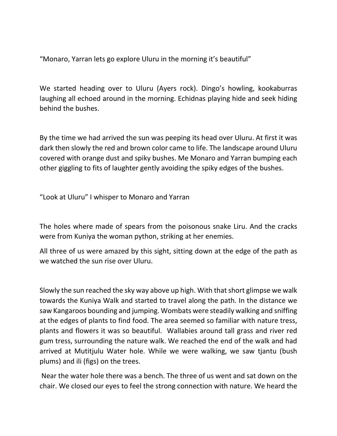"Monaro, Yarran lets go explore Uluru in the morning it's beautiful"

We started heading over to Uluru (Ayers rock). Dingo's howling, kookaburras laughing all echoed around in the morning. Echidnas playing hide and seek hiding behind the bushes.

By the time we had arrived the sun was peeping its head over Uluru. At first it was dark then slowly the red and brown color came to life. The landscape around Uluru covered with orange dust and spiky bushes. Me Monaro and Yarran bumping each other giggling to fits of laughter gently avoiding the spiky edges of the bushes.

"Look at Uluru" I whisper to Monaro and Yarran

The holes where made of spears from the poisonous snake Liru. And the cracks were from Kuniya the woman python, striking at her enemies.

All three of us were amazed by this sight, sitting down at the edge of the path as we watched the sun rise over Uluru.

Slowly the sun reached the sky way above up high. With that short glimpse we walk towards the Kuniya Walk and started to travel along the path. In the distance we saw Kangaroos bounding and jumping. Wombats were steadily walking and sniffing at the edges of plants to find food. The area seemed so familiar with nature tress, plants and flowers it was so beautiful. Wallabies around tall grass and river red gum tress, surrounding the nature walk. We reached the end of the walk and had arrived at Mutitjulu Water hole. While we were walking, we saw tjantu (bush plums) and ili (figs) on the trees.

Near the water hole there was a bench. The three of us went and sat down on the chair. We closed our eyes to feel the strong connection with nature. We heard the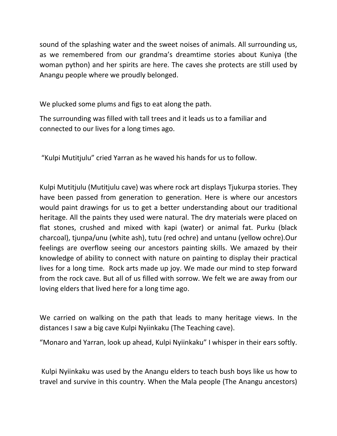sound of the splashing water and the sweet noises of animals. All surrounding us, as we remembered from our grandma's dreamtime stories about Kuniya (the woman python) and her spirits are here. The caves she protects are still used by Anangu people where we proudly belonged.

We plucked some plums and figs to eat along the path.

The surrounding was filled with tall trees and it leads us to a familiar and connected to our lives for a long times ago.

"Kulpi Mutitjulu" cried Yarran as he waved his hands for us to follow.

Kulpi Mutitjulu (Mutitjulu cave) was where rock art displays Tjukurpa stories. They have been passed from generation to generation. Here is where our ancestors would paint drawings for us to get a better understanding about our traditional heritage. All the paints they used were natural. The dry materials were placed on flat stones, crushed and mixed with kapi (water) or animal fat. Purku (black charcoal), tjunpa/unu (white ash), tutu (red ochre) and untanu (yellow ochre).Our feelings are overflow seeing our ancestors painting skills. We amazed by their knowledge of ability to connect with nature on painting to display their practical lives for a long time. Rock arts made up joy. We made our mind to step forward from the rock cave. But all of us filled with sorrow. We felt we are away from our loving elders that lived here for a long time ago.

We carried on walking on the path that leads to many heritage views. In the distances I saw a big cave Kulpi Nyiinkaku (The Teaching cave).

"Monaro and Yarran, look up ahead, Kulpi Nyiinkaku" I whisper in their ears softly.

Kulpi Nyiinkaku was used by the Anangu elders to teach bush boys like us how to travel and survive in this country. When the Mala people (The Anangu ancestors)